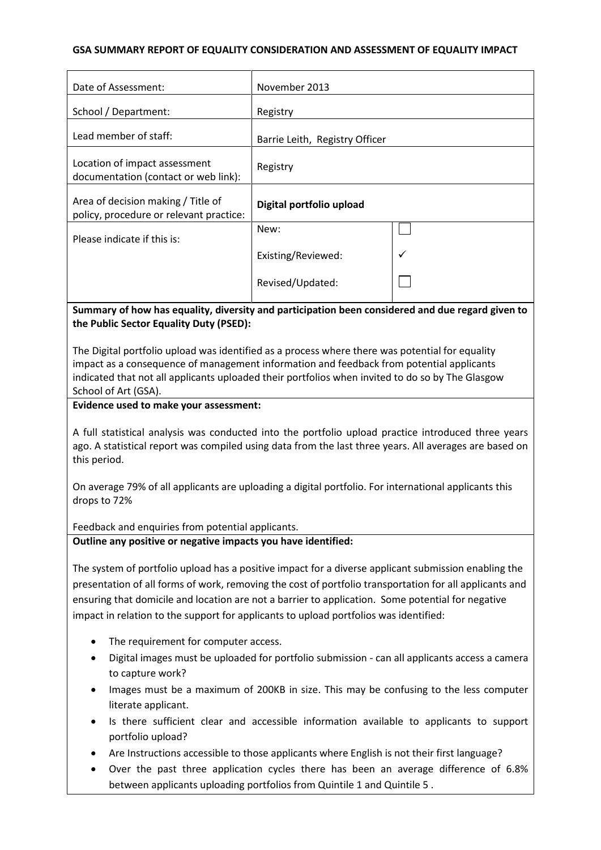## **GSA SUMMARY REPORT OF EQUALITY CONSIDERATION AND ASSESSMENT OF EQUALITY IMPACT**

| Date of Assessment:                                                           | November 2013                  |              |
|-------------------------------------------------------------------------------|--------------------------------|--------------|
| School / Department:                                                          | Registry                       |              |
| Lead member of staff:                                                         | Barrie Leith, Registry Officer |              |
| Location of impact assessment<br>documentation (contact or web link):         | Registry                       |              |
| Area of decision making / Title of<br>policy, procedure or relevant practice: | Digital portfolio upload       |              |
| Please indicate if this is:                                                   | New:                           |              |
|                                                                               | Existing/Reviewed:             | $\checkmark$ |
|                                                                               | Revised/Updated:               |              |

# **Summary of how has equality, diversity and participation been considered and due regard given to the Public Sector Equality Duty (PSED):**

The Digital portfolio upload was identified as a process where there was potential for equality impact as a consequence of management information and feedback from potential applicants indicated that not all applicants uploaded their portfolios when invited to do so by The Glasgow School of Art (GSA).

#### **Evidence used to make your assessment:**

A full statistical analysis was conducted into the portfolio upload practice introduced three years ago. A statistical report was compiled using data from the last three years. All averages are based on this period.

On average 79% of all applicants are uploading a digital portfolio. For international applicants this drops to 72%

Feedback and enquiries from potential applicants.

#### **Outline any positive or negative impacts you have identified:**

The system of portfolio upload has a positive impact for a diverse applicant submission enabling the presentation of all forms of work, removing the cost of portfolio transportation for all applicants and ensuring that domicile and location are not a barrier to application. Some potential for negative impact in relation to the support for applicants to upload portfolios was identified:

- The requirement for computer access.
- Digital images must be uploaded for portfolio submission can all applicants access a camera to capture work?
- Images must be a maximum of 200KB in size. This may be confusing to the less computer literate applicant.
- Is there sufficient clear and accessible information available to applicants to support portfolio upload?
- Are Instructions accessible to those applicants where English is not their first language?
- Over the past three application cycles there has been an average difference of 6.8% between applicants uploading portfolios from Quintile 1 and Quintile 5 .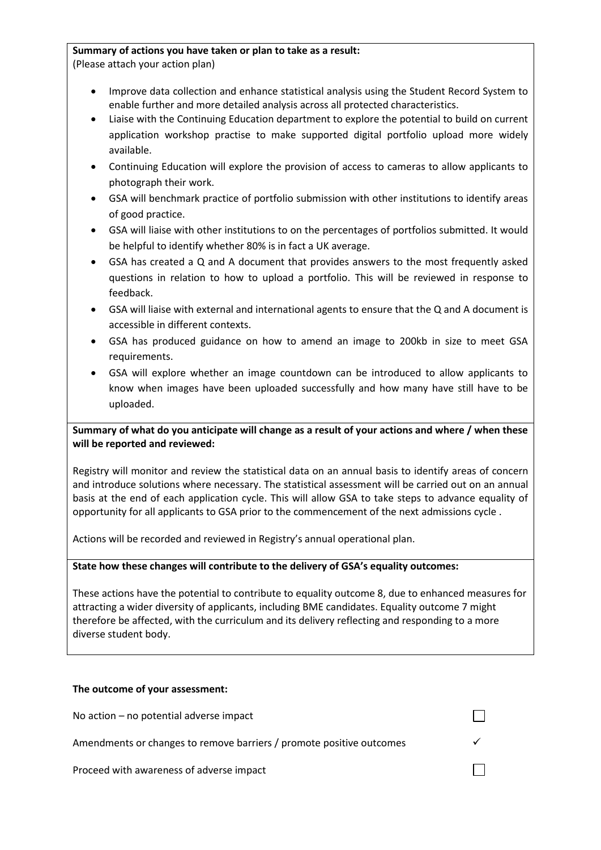# **Summary of actions you have taken or plan to take as a result:**

(Please attach your action plan)

- Improve data collection and enhance statistical analysis using the Student Record System to enable further and more detailed analysis across all protected characteristics.
- Liaise with the Continuing Education department to explore the potential to build on current application workshop practise to make supported digital portfolio upload more widely available.
- Continuing Education will explore the provision of access to cameras to allow applicants to photograph their work.
- GSA will benchmark practice of portfolio submission with other institutions to identify areas of good practice.
- GSA will liaise with other institutions to on the percentages of portfolios submitted. It would be helpful to identify whether 80% is in fact a UK average.
- GSA has created a Q and A document that provides answers to the most frequently asked questions in relation to how to upload a portfolio. This will be reviewed in response to feedback.
- GSA will liaise with external and international agents to ensure that the Q and A document is accessible in different contexts.
- GSA has produced guidance on how to amend an image to 200kb in size to meet GSA requirements.
- GSA will explore whether an image countdown can be introduced to allow applicants to know when images have been uploaded successfully and how many have still have to be uploaded.

# **Summary of what do you anticipate will change as a result of your actions and where / when these will be reported and reviewed:**

Registry will monitor and review the statistical data on an annual basis to identify areas of concern and introduce solutions where necessary. The statistical assessment will be carried out on an annual basis at the end of each application cycle. This will allow GSA to take steps to advance equality of opportunity for all applicants to GSA prior to the commencement of the next admissions cycle .

Actions will be recorded and reviewed in Registry's annual operational plan.

#### **State how these changes will contribute to the delivery of GSA's equality outcomes:**

These actions have the potential to contribute to equality outcome 8, due to enhanced measures for attracting a wider diversity of applicants, including BME candidates. Equality outcome 7 might therefore be affected, with the curriculum and its delivery reflecting and responding to a more diverse student body.

#### **The outcome of your assessment:**

No action – no potential adverse impact

Amendments or changes to remove barriers / promote positive outcomes

Proceed with awareness of adverse impact